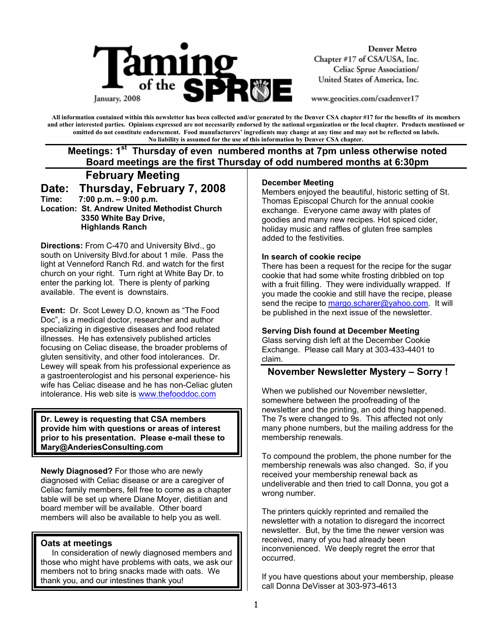

**Denver Metro** Chapter #17 of CSA/USA, Inc. Celiac Sprue Association/ United States of America, Inc.

www.geocities.com/csadenver17

**All information contained within this newsletter has been collected and/or generated by the Denver CSA chapter #17 for the benefits of its members and other interested parties. Opinions expressed are not necessarily endorsed by the national organization or the local chapter. Products mentioned or omitted do not constitute endorsement. Food manufacturers' ingredients may change at any time and may not be reflected on labels. No liability is assumed for the use of this information by Denver CSA chapter.** 

# **Meetings: 1<sup>st</sup> Thursday of even numbered months at 7pm unless otherwise noted Board meetings are the first Thursday of odd numbered months at 6:30pm**

 **February Meeting Date: Thursday, February 7, 2008 Time: 7:00 p.m. – 9:00 p.m. Location: St. Andrew United Methodist Church 3350 White Bay Drive, Highlands Ranch** 

**Directions:** From C-470 and University Blvd., go south on University Blvd.for about 1 mile. Pass the light at Venneford Ranch Rd. and watch for the first church on your right. Turn right at White Bay Dr. to enter the parking lot. There is plenty of parking available. The event is downstairs.

**Event:** Dr. Scot Lewey D.O, known as "The Food Doc", is a medical doctor, researcher and author specializing in digestive diseases and food related illnesses. He has extensively published articles focusing on Celiac disease, the broader problems of gluten sensitivity, and other food intolerances. Dr. Lewey will speak from his professional experience as a gastroenterologist and his personal experience- his wife has Celiac disease and he has non-Celiac gluten intolerance. His web site is www.thefooddoc.com

**Dr. Lewey is requesting that CSA members provide him with questions or areas of interest prior to his presentation. Please e-mail these to Mary@AnderiesConsulting.com** 

**Newly Diagnosed?** For those who are newly diagnosed with Celiac disease or are a caregiver of Celiac family members, fell free to come as a chapter table will be set up where Diane Moyer, dietitian and board member will be available. Other board members will also be available to help you as well.

#### **Oats at meetings**

In consideration of newly diagnosed members and those who might have problems with oats, we ask our members not to bring snacks made with oats. We thank you, and our intestines thank you!

#### **December Meeting**

Members enjoyed the beautiful, historic setting of St. Thomas Episcopal Church for the annual cookie exchange. Everyone came away with plates of goodies and many new recipes. Hot spiced cider, holiday music and raffles of gluten free samples added to the festivities.

#### **In search of cookie recipe**

There has been a request for the recipe for the sugar cookie that had some white frosting dribbled on top with a fruit filling. They were individually wrapped. If you made the cookie and still have the recipe, please send the recipe to margo.scharer@yahoo.com. It will be published in the next issue of the newsletter.

#### **Serving Dish found at December Meeting**

Glass serving dish left at the December Cookie Exchange. Please call Mary at 303-433-4401 to claim.

### **November Newsletter Mystery – Sorry !**

When we published our November newsletter, somewhere between the proofreading of the newsletter and the printing, an odd thing happened. The 7s were changed to 9s. This affected not only many phone numbers, but the mailing address for the membership renewals.

To compound the problem, the phone number for the membership renewals was also changed. So, if you received your membership renewal back as undeliverable and then tried to call Donna, you got a wrong number.

The printers quickly reprinted and remailed the newsletter with a notation to disregard the incorrect newsletter. But, by the time the newer version was received, many of you had already been inconvenienced. We deeply regret the error that occurred.

If you have questions about your membership, please call Donna DeVisser at 303-973-4613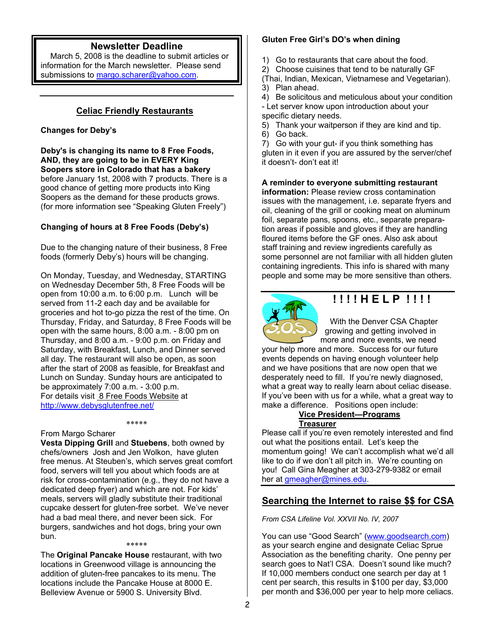### **Newsletter Deadline**

March 5, 2008 is the deadline to submit articles or information for the March newsletter. Please send submissions to margo.scharer@yahoo.com.

### **Celiac Friendly Restaurants**

#### **Changes for Deby's**

**Deby's is changing its name to 8 Free Foods, AND, they are going to be in EVERY King Soopers store in Colorado that has a bakery** before January 1st, 2008 with 7 products. There is a good chance of getting more products into King Soopers as the demand for these products grows. (for more information see "Speaking Gluten Freely")

#### **Changing of hours at 8 Free Foods (Deby's)**

Due to the changing nature of their business, 8 Free foods (formerly Deby's) hours will be changing.

On Monday, Tuesday, and Wednesday, STARTING on Wednesday December 5th, 8 Free Foods will be open from 10:00 a.m. to 6:00 p.m. Lunch will be served from 11-2 each day and be available for groceries and hot to-go pizza the rest of the time. On Thursday, Friday, and Saturday, 8 Free Foods will be open with the same hours, 8:00 a.m. - 8:00 pm on Thursday, and 8:00 a.m. - 9:00 p.m. on Friday and Saturday, with Breakfast, Lunch, and Dinner served all day. The restaurant will also be open, as soon after the start of 2008 as feasible, for Breakfast and Lunch on Sunday. Sunday hours are anticipated to be approximately 7:00 a.m. - 3:00 p.m. For details visit 8 Free Foods Website at http://www.debysglutenfree.net/

\*\*\*\*\*

#### From Margo Scharer

**Vesta Dipping Grill** and **Stuebens**, both owned by chefs/owners Josh and Jen Wolkon, have gluten free menus. At Steuben's, which serves great comfort food, servers will tell you about which foods are at risk for cross-contamination (e.g., they do not have a dedicated deep fryer) and which are not. For kids' meals, servers will gladly substitute their traditional cupcake dessert for gluten-free sorbet. We've never had a bad meal there, and never been sick. For burgers, sandwiches and hot dogs, bring your own bun.

#### \*\*\*\*\*

The **Original Pancake House** restaurant, with two locations in Greenwood village is announcing the addition of gluten-free pancakes to its menu. The locations include the Pancake House at 8000 E. Belleview Avenue or 5900 S. University Blvd.

#### **Gluten Free Girl's DO's when dining**

1) Go to restaurants that care about the food.

2) Choose cuisines that tend to be naturally GF

(Thai, Indian, Mexican, Vietnamese and Vegetarian). 3) Plan ahead.

4) Be solicitous and meticulous about your condition - Let server know upon introduction about your specific dietary needs.

5) Thank your waitperson if they are kind and tip. 6) Go back.

7) Go with your gut- if you think something has gluten in it even if you are assured by the server/chef it doesn't- don't eat it!

**A reminder to everyone submitting restaurant information:** Please review cross contamination issues with the management, i.e. separate fryers and oil, cleaning of the grill or cooking meat on aluminum foil, separate pans, spoons, etc., separate preparation areas if possible and gloves if they are handling floured items before the GF ones. Also ask about staff training and review ingredients carefully as some personnel are not familiar with all hidden gluten containing ingredients. This info is shared with many people and some may be more sensitive than others.



# **! ! ! ! H E L P ! ! ! !**

 With the Denver CSA Chapter growing and getting involved in more and more events, we need

your help more and more. Success for our future events depends on having enough volunteer help and we have positions that are now open that we desperately need to fill. If you're newly diagnosed, what a great way to really learn about celiac disease. If you've been with us for a while, what a great way to make a difference. Positions open include:

#### **Vice President—Programs Treasurer**

Please call if you're even remotely interested and find out what the positions entail. Let's keep the momentum going! We can't accomplish what we'd all like to do if we don't all pitch in. We're counting on you! Call Gina Meagher at 303-279-9382 or email her at gmeagher@mines.edu.

# **Searching the Internet to raise \$\$ for CSA**

*From CSA Lifeline Vol. XXVII No. IV, 2007* 

You can use "Good Search" (www.goodsearch.com) as your search engine and designate Celiac Sprue Association as the benefiting charity. One penny per search goes to Nat'l CSA. Doesn't sound like much? If 10,000 members conduct one search per day at 1 cent per search, this results in \$100 per day, \$3,000 per month and \$36,000 per year to help more celiacs.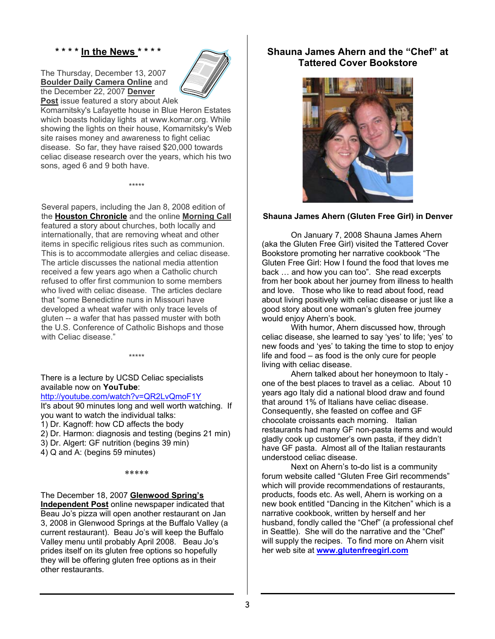#### **\* \* \* \* In the News \* \* \* \***

The Thursday, December 13, 2007 **Boulder Daily Camera Online** and the December 22, 2007 **Denver Post** issue featured a story about Alek



Komarnitsky's Lafayette house in Blue Heron Estates which boasts holiday lights at www.komar.org. While showing the lights on their house, Komarnitsky's Web site raises money and awareness to fight celiac disease. So far, they have raised \$20,000 towards celiac disease research over the years, which his two sons, aged 6 and 9 both have.

\*\*\*\*\*

Several papers, including the Jan 8, 2008 edition of the **Houston Chronicle** and the online **Morning Call** featured a story about churches, both locally and internationally, that are removing wheat and other items in specific religious rites such as communion. This is to accommodate allergies and celiac disease. The article discusses the national media attention received a few years ago when a Catholic church refused to offer first communion to some members who lived with celiac disease. The articles declare that "some Benedictine nuns in Missouri have developed a wheat wafer with only trace levels of gluten -- a wafer that has passed muster with both the U.S. Conference of Catholic Bishops and those with Celiac disease."

There is a lecture by UCSD Celiac specialists available now on **YouTube**:

#### http://youtube.com/watch?v=QR2LvQmoF1Y

It's about 90 minutes long and well worth watching. If you want to watch the individual talks:

\*\*\*\*\*

1) Dr. Kagnoff: how CD affects the body

- 2) Dr. Harmon: diagnosis and testing (begins 21 min)
- 3) Dr. Algert: GF nutrition (begins 39 min)

4) Q and A: (begins 59 minutes)

\*\*\*\*\*

#### The December 18, 2007 **Glenwood Spring's**

**Independent Post** online newspaper indicated that Beau Jo's pizza will open another restaurant on Jan 3, 2008 in Glenwood Springs at the Buffalo Valley (a current restaurant). Beau Jo's will keep the Buffalo Valley menu until probably April 2008. Beau Jo's prides itself on its gluten free options so hopefully they will be offering gluten free options as in their other restaurants.

### **Shauna James Ahern and the "Chef" at Tattered Cover Bookstore**



#### **Shauna James Ahern (Gluten Free Girl) in Denver**

On January 7, 2008 Shauna James Ahern (aka the Gluten Free Girl) visited the Tattered Cover Bookstore promoting her narrative cookbook "The Gluten Free Girl: How I found the food that loves me back … and how you can too". She read excerpts from her book about her journey from illness to health and love. Those who like to read about food, read about living positively with celiac disease or just like a good story about one woman's gluten free journey would enjoy Ahern's book.

With humor, Ahern discussed how, through celiac disease, she learned to say 'yes' to life; 'yes' to new foods and 'yes' to taking the time to stop to enjoy life and food – as food is the only cure for people living with celiac disease.

Ahern talked about her honeymoon to Italy one of the best places to travel as a celiac. About 10 years ago Italy did a national blood draw and found that around 1% of Italians have celiac disease. Consequently, she feasted on coffee and GF chocolate croissants each morning. Italian restaurants had many GF non-pasta items and would gladly cook up customer's own pasta, if they didn't have GF pasta. Almost all of the Italian restaurants understood celiac disease.

Next on Ahern's to-do list is a community forum website called "Gluten Free Girl recommends" which will provide recommendations of restaurants. products, foods etc. As well, Ahern is working on a new book entitled "Dancing in the Kitchen" which is a narrative cookbook, written by herself and her husband, fondly called the "Chef" (a professional chef in Seattle). She will do the narrative and the "Chef" will supply the recipes. To find more on Ahern visit her web site at **www.glutenfreegirl.com**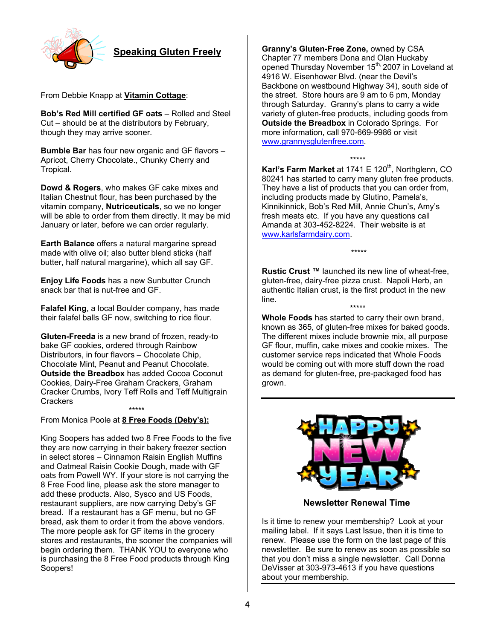

**Speaking Gluten Freely**

From Debbie Knapp at **Vitamin Cottage**:

**Bob's Red Mill certified GF oats** – Rolled and Steel Cut – should be at the distributors by February, though they may arrive sooner.

**Bumble Bar** has four new organic and GF flavors – Apricot, Cherry Chocolate., Chunky Cherry and Tropical.

**Dowd & Rogers**, who makes GF cake mixes and Italian Chestnut flour, has been purchased by the vitamin company, **Nutriceuticals**, so we no longer will be able to order from them directly. It may be mid January or later, before we can order regularly.

**Earth Balance** offers a natural margarine spread made with olive oil; also butter blend sticks (half butter, half natural margarine), which all say GF.

**Enjoy Life Foods** has a new Sunbutter Crunch snack bar that is nut-free and GF.

**Falafel King**, a local Boulder company, has made their falafel balls GF now, switching to rice flour.

**Gluten-Freeda** is a new brand of frozen, ready-to bake GF cookies, ordered through Rainbow Distributors, in four flavors – Chocolate Chip, Chocolate Mint, Peanut and Peanut Chocolate. **Outside the Breadbox** has added Cocoa Coconut Cookies, Dairy-Free Graham Crackers, Graham Cracker Crumbs, Ivory Teff Rolls and Teff Multigrain Crackers

\*\*\*\*\* From Monica Poole at **8 Free Foods (Deby's):**

King Soopers has added two 8 Free Foods to the five they are now carrying in their bakery freezer section in select stores – Cinnamon Raisin English Muffins and Oatmeal Raisin Cookie Dough, made with GF oats from Powell WY. If your store is not carrying the 8 Free Food line, please ask the store manager to add these products. Also, Sysco and US Foods, restaurant suppliers, are now carrying Deby's GF bread. If a restaurant has a GF menu, but no GF bread, ask them to order it from the above vendors. The more people ask for GF items in the grocery stores and restaurants, the sooner the companies will begin ordering them. THANK YOU to everyone who is purchasing the 8 Free Food products through King Soopers!

**Granny's Gluten-Free Zone,** owned by CSA Chapter 77 members Dona and Olan Huckaby opened Thursday November 15<sup>th,</sup> 2007 in Loveland at 4916 W. Eisenhower Blvd. (near the Devil's Backbone on westbound Highway 34), south side of the street. Store hours are 9 am to 6 pm, Monday through Saturday. Granny's plans to carry a wide variety of gluten-free products, including goods from **Outside the Breadbox** in Colorado Springs. For more information, call 970-669-9986 or visit www.grannysglutenfree.com.

#### \*\*\*\*\*

**Karl's Farm Market** at 1741 E 120<sup>th</sup>, Northglenn, CO 80241 has started to carry many gluten free products. They have a list of products that you can order from, including products made by Glutino, Pamela's, Kinnikinnick, Bob's Red Mill, Annie Chun's, Amy's fresh meats etc. If you have any questions call Amanda at 303-452-8224. Their website is at www.karlsfarmdairy.com.

**Rustic Crust ™** launched its new line of wheat-free, gluten-free, dairy-free pizza crust. Napoli Herb, an authentic Italian crust, is the first product in the new line.

\*\*\*\*\*

\*\*\*\*\* **Whole Foods** has started to carry their own brand, known as 365, of gluten-free mixes for baked goods. The different mixes include brownie mix, all purpose GF flour, muffin, cake mixes and cookie mixes. The customer service reps indicated that Whole Foods would be coming out with more stuff down the road as demand for gluten-free, pre-packaged food has grown.



**Newsletter Renewal Time**

Is it time to renew your membership? Look at your mailing label. If it says Last Issue, then it is time to renew. Please use the form on the last page of this newsletter. Be sure to renew as soon as possible so that you don't miss a single newsletter. Call Donna DeVisser at 303-973-4613 if you have questions about your membership.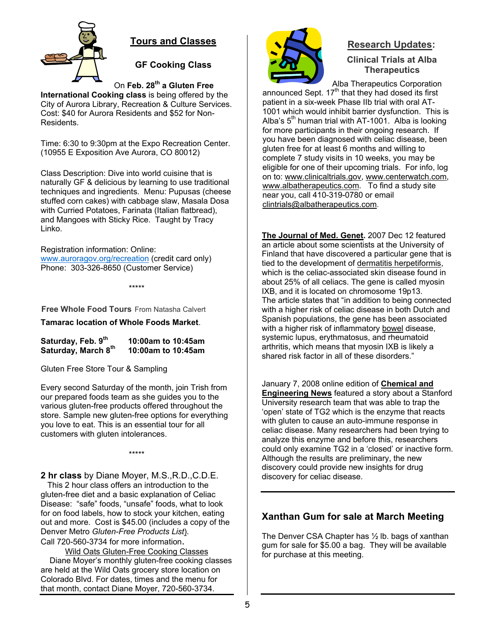

# **Tours and Classes**

**GF Cooking Class** 

On **Feb. 28th a Gluten Free** 

**International Cooking class** is being offered by the City of Aurora Library, Recreation & Culture Services. Cost: \$40 for Aurora Residents and \$52 for Non-Residents.

Time: 6:30 to 9:30pm at the Expo Recreation Center. (10955 E Exposition Ave Aurora, CO 80012)

Class Description: Dive into world cuisine that is naturally GF & delicious by learning to use traditional techniques and ingredients. Menu: Pupusas (cheese stuffed corn cakes) with cabbage slaw, Masala Dosa with Curried Potatoes, Farinata (Italian flatbread), and Mangoes with Sticky Rice. Taught by Tracy Linko.

Registration information: Online: www.auroragov.org/recreation (credit card only) Phone: 303-326-8650 (Customer Service)

\*\*\*\*\*

**Free Whole Food Tours** From Natasha Calvert

**Tamarac location of Whole Foods Market**.

Saturday, Feb. 9<sup>th</sup> 10:00am to 10:45am<br>Saturday, March 8<sup>th</sup> 10:00am to 10:45am Saturday, March 8<sup>th</sup>

Gluten Free Store Tour & Sampling

Every second Saturday of the month, join Trish from our prepared foods team as she guides you to the various gluten-free products offered throughout the store. Sample new gluten-free options for everything you love to eat. This is an essential tour for all customers with gluten intolerances.

\*\*\*\*\*

**2 hr class** by Diane Moyer, M.S.,R.D.,C.D.E.

 This 2 hour class offers an introduction to the gluten-free diet and a basic explanation of Celiac Disease: "safe" foods, "unsafe" foods, what to look for on food labels, how to stock your kitchen, eating out and more. Cost is \$45.00 (includes a copy of the Denver Metro *Gluten-Free Products List*). Call 720-560-3734 for more information.

Wild Oats Gluten-Free Cooking Classes Diane Moyer's monthly gluten-free cooking classes are held at the Wild Oats grocery store location on Colorado Blvd. For dates, times and the menu for that month, contact Diane Moyer, 720-560-3734.



# **Research Updates:**

**Clinical Trials at Alba Therapeutics** 

Alba Therapeutics Corporation announced Sept.  $17<sup>th</sup>$  that they had dosed its first patient in a six-week Phase IIb trial with oral AT-1001 which would inhibit barrier dysfunction. This is Alba's  $5<sup>th</sup>$  human trial with AT-1001. Alba is looking for more participants in their ongoing research. If you have been diagnosed with celiac disease, been gluten free for at least 6 months and willing to complete 7 study visits in 10 weeks, you may be eligible for one of their upcoming trials. For info, log on to: www.clinicaltrials.gov, www.centerwatch.com, www.albatherapeutics.com. To find a study site near you, call 410-319-0780 or email clintrials@albatherapeutics.com.

**The Journal of Med. Genet.** 2007 Dec 12 featured an article about some scientists at the University of Finland that have discovered a particular gene that is tied to the development of dermatitis herpetiformis, which is the celiac-associated skin disease found in about 25% of all celiacs. The gene is called myosin IXB, and it is located on chromosome 19p13. The article states that "in addition to being connected with a higher risk of celiac disease in both Dutch and Spanish populations, the gene has been associated with a higher risk of inflammatory bowel disease, systemic lupus, erythmatosus, and rheumatoid arthritis, which means that myosin IXB is likely a shared risk factor in all of these disorders."

January 7, 2008 online edition of **Chemical and Engineering News** featured a story about a Stanford University research team that was able to trap the 'open' state of TG2 which is the enzyme that reacts with gluten to cause an auto-immune response in celiac disease. Many researchers had been trying to analyze this enzyme and before this, researchers could only examine TG2 in a 'closed' or inactive form. Although the results are preliminary, the new discovery could provide new insights for drug discovery for celiac disease.

# **Xanthan Gum for sale at March Meeting**

The Denver CSA Chapter has ½ lb. bags of xanthan gum for sale for \$5.00 a bag. They will be available for purchase at this meeting.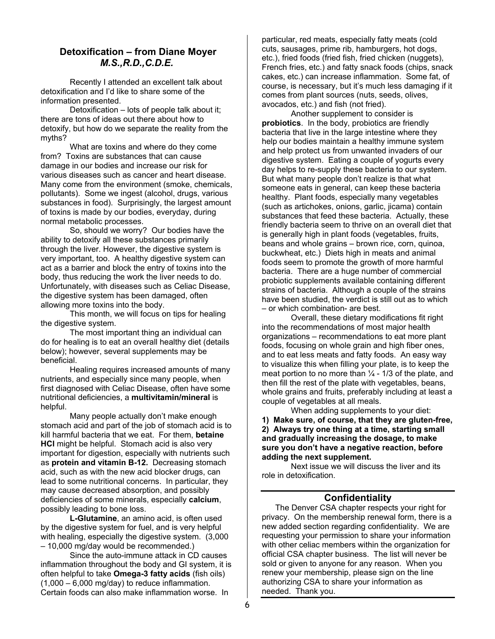### **Detoxification – from Diane Moyer** *M.S.,R.D.,C.D.E.*

 Recently I attended an excellent talk about detoxification and I'd like to share some of the information presented.

 Detoxification – lots of people talk about it; there are tons of ideas out there about how to detoxify, but how do we separate the reality from the myths?

 What are toxins and where do they come from? Toxins are substances that can cause damage in our bodies and increase our risk for various diseases such as cancer and heart disease. Many come from the environment (smoke, chemicals, pollutants). Some we ingest (alcohol, drugs, various substances in food). Surprisingly, the largest amount of toxins is made by our bodies, everyday, during normal metabolic processes.

 So, should we worry? Our bodies have the ability to detoxify all these substances primarily through the liver. However, the digestive system is very important, too. A healthy digestive system can act as a barrier and block the entry of toxins into the body, thus reducing the work the liver needs to do. Unfortunately, with diseases such as Celiac Disease, the digestive system has been damaged, often allowing more toxins into the body.

 This month, we will focus on tips for healing the digestive system.

 The most important thing an individual can do for healing is to eat an overall healthy diet (details below); however, several supplements may be beneficial.

 Healing requires increased amounts of many nutrients, and especially since many people, when first diagnosed with Celiac Disease, often have some nutritional deficiencies, a **multivitamin/mineral** is helpful.

 Many people actually don't make enough stomach acid and part of the job of stomach acid is to kill harmful bacteria that we eat. For them, **betaine HCl** might be helpful. Stomach acid is also very important for digestion, especially with nutrients such as **protein and vitamin B-12.** Decreasing stomach acid, such as with the new acid blocker drugs, can lead to some nutritional concerns. In particular, they may cause decreased absorption, and possibly deficiencies of some minerals, especially **calcium**, possibly leading to bone loss.

**L-Glutamine**, an amino acid, is often used by the digestive system for fuel, and is very helpful with healing, especially the digestive system. (3,000 – 10,000 mg/day would be recommended.)

 Since the auto-immune attack in CD causes inflammation throughout the body and GI system, it is often helpful to take **Omega-3 fatty acids** (fish oils)  $(1,000 - 6,000 \text{ mq/day})$  to reduce inflammation. Certain foods can also make inflammation worse. In

particular, red meats, especially fatty meats (cold cuts, sausages, prime rib, hamburgers, hot dogs, etc.), fried foods (fried fish, fried chicken (nuggets), French fries, etc.) and fatty snack foods (chips, snack cakes, etc.) can increase inflammation. Some fat, of course, is necessary, but it's much less damaging if it comes from plant sources (nuts, seeds, olives, avocados, etc.) and fish (not fried).

 Another supplement to consider is **probiotics**. In the body, probiotics are friendly bacteria that live in the large intestine where they help our bodies maintain a healthy immune system and help protect us from unwanted invaders of our digestive system. Eating a couple of yogurts every day helps to re-supply these bacteria to our system. But what many people don't realize is that what someone eats in general, can keep these bacteria healthy. Plant foods, especially many vegetables (such as artichokes, onions, garlic, jicama) contain substances that feed these bacteria. Actually, these friendly bacteria seem to thrive on an overall diet that is generally high in plant foods (vegetables, fruits, beans and whole grains – brown rice, corn, quinoa, buckwheat, etc.) Diets high in meats and animal foods seem to promote the growth of more harmful bacteria. There are a huge number of commercial probiotic supplements available containing different strains of bacteria. Although a couple of the strains have been studied, the verdict is still out as to which – or which combination- are best.

 Overall, these dietary modifications fit right into the recommendations of most major health organizations – recommendations to eat more plant foods, focusing on whole grain and high fiber ones, and to eat less meats and fatty foods. An easy way to visualize this when filling your plate, is to keep the meat portion to no more than  $\frac{1}{4}$  - 1/3 of the plate, and then fill the rest of the plate with vegetables, beans, whole grains and fruits, preferably including at least a couple of vegetables at all meals.

When adding supplements to your diet: **1) Make sure, of course, that they are gluten-free, 2) Always try one thing at a time, starting small and gradually increasing the dosage, to make sure you don't have a negative reaction, before adding the next supplement.** 

Next issue we will discuss the liver and its role in detoxification.

### **Confidentiality**

The Denver CSA chapter respects your right for privacy. On the membership renewal form, there is a new added section regarding confidentiality. We are requesting your permission to share your information with other celiac members within the organization for official CSA chapter business. The list will never be sold or given to anyone for any reason. When you renew your membership, please sign on the line authorizing CSA to share your information as needed. Thank you.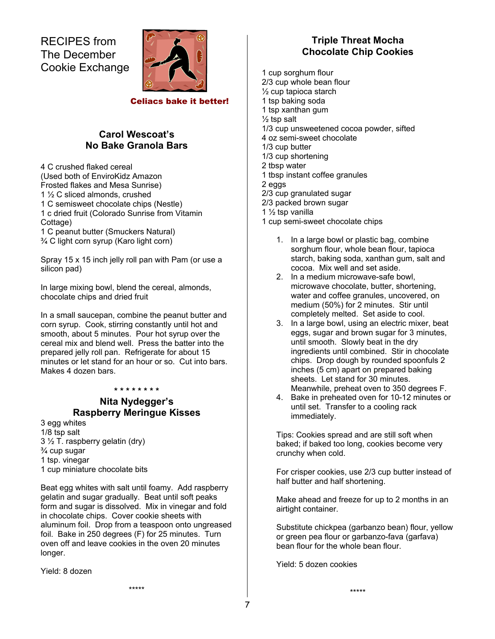RECIPES from The December Cookie Exchange



Celiacs bake it better!

# **Carol Wescoat's No Bake Granola Bars**

4 C crushed flaked cereal (Used both of EnviroKidz Amazon Frosted flakes and Mesa Sunrise) 1 ½ C sliced almonds, crushed 1 C semisweet chocolate chips (Nestle) 1 c dried fruit (Colorado Sunrise from Vitamin Cottage) 1 C peanut butter (Smuckers Natural)

¾ C light corn syrup (Karo light corn)

Spray 15 x 15 inch jelly roll pan with Pam (or use a silicon pad)

In large mixing bowl, blend the cereal, almonds, chocolate chips and dried fruit

In a small saucepan, combine the peanut butter and corn syrup. Cook, stirring constantly until hot and smooth, about 5 minutes. Pour hot syrup over the cereal mix and blend well. Press the batter into the prepared jelly roll pan. Refrigerate for about 15 minutes or let stand for an hour or so. Cut into bars. Makes 4 dozen bars.

#### **\* \* \* \* \* \* \* \***

# **Nita Nydegger's Raspberry Meringue Kisses**

3 egg whites 1/8 tsp salt  $3\frac{1}{2}$  T. raspberry gelatin (dry) ¾ cup sugar 1 tsp. vinegar 1 cup miniature chocolate bits

Beat egg whites with salt until foamy. Add raspberry gelatin and sugar gradually. Beat until soft peaks form and sugar is dissolved. Mix in vinegar and fold in chocolate chips. Cover cookie sheets with aluminum foil. Drop from a teaspoon onto ungreased foil. Bake in 250 degrees (F) for 25 minutes. Turn oven off and leave cookies in the oven 20 minutes longer.

Yield: 8 dozen

# **Triple Threat Mocha Chocolate Chip Cookies**

- 1 cup sorghum flour 2/3 cup whole bean flour ½ cup tapioca starch 1 tsp baking soda 1 tsp xanthan gum  $\frac{1}{2}$  tsp salt 1/3 cup unsweetened cocoa powder, sifted 4 oz semi-sweet chocolate 1/3 cup butter 1/3 cup shortening 2 tbsp water 1 tbsp instant coffee granules 2 eggs 2/3 cup granulated sugar 2/3 packed brown sugar 1 ½ tsp vanilla 1 cup semi-sweet chocolate chips
	- 1. In a large bowl or plastic bag, combine sorghum flour, whole bean flour, tapioca starch, baking soda, xanthan gum, salt and cocoa. Mix well and set aside.
	- 2. In a medium microwave-safe bowl, microwave chocolate, butter, shortening, water and coffee granules, uncovered, on medium (50%) for 2 minutes. Stir until completely melted. Set aside to cool.
	- 3. In a large bowl, using an electric mixer, beat eggs, sugar and brown sugar for 3 minutes, until smooth. Slowly beat in the dry ingredients until combined. Stir in chocolate chips. Drop dough by rounded spoonfuls 2 inches (5 cm) apart on prepared baking sheets. Let stand for 30 minutes. Meanwhile, preheat oven to 350 degrees F.
	- 4. Bake in preheated oven for 10-12 minutes or until set. Transfer to a cooling rack immediately.

Tips: Cookies spread and are still soft when baked; if baked too long, cookies become very crunchy when cold.

For crisper cookies, use 2/3 cup butter instead of half butter and half shortening.

Make ahead and freeze for up to 2 months in an airtight container.

Substitute chickpea (garbanzo bean) flour, yellow or green pea flour or garbanzo-fava (garfava) bean flour for the whole bean flour.

Yield: 5 dozen cookies

\*\*\*\*\*

\*\*\*\*\*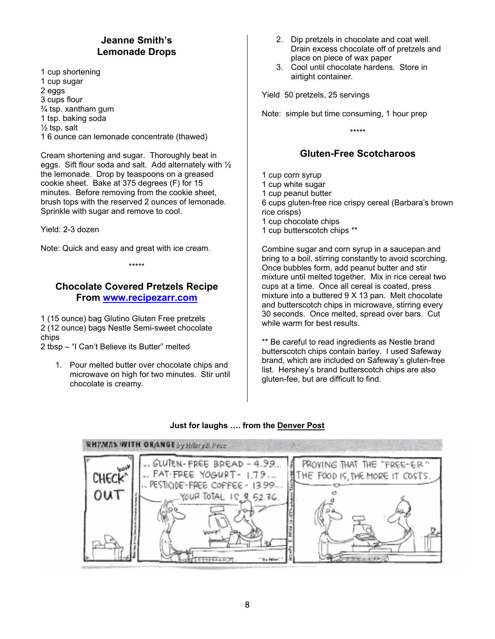# **Jeanne Smith's Lemonade Drops**

1 cup shortening 1 cup sugar 2 eggs 3 cups flour  $\frac{3}{4}$  tsp. xantham gum 1 tsp. baking soda  $\frac{1}{2}$  tsp. salt 1 6 ounce can lemonade concentrate (thawed)

Cream shortening and sugar. Thoroughly beat in eggs. Sift flour soda and salt. Add alternately with ½ the lemonade. Drop by teaspoons on a greased cookie sheet. Bake at 375 degrees (F) for 15 minutes. Before removing from the cookie sheet, brush tops with the reserved 2 ounces of lemonade. Sprinkle with sugar and remove to cool.

Yield: 2-3 dozen

Note: Quick and easy and great with ice cream.

\*\*\*\*\*

# **Chocolate Covered Pretzels Recipe From www.recipezarr.com**

1 (15 ounce) bag Glutino Gluten Free pretzels 2 (12 ounce) bags Nestle Semi-sweet chocolate chips

2 tbsp – "I Can't Believe its Butter" melted

1. Pour melted butter over chocolate chips and microwave on high for two minutes. Stir until chocolate is creamy.

- 2. Dip pretzels in chocolate and coat well. Drain excess chocolate off of pretzels and place on piece of wax paper
- 3. Cool until chocolate hardens. Store in airtight container.

Yield 50 pretzels, 25 servings

Note: simple but time consuming, 1 hour prep

\*\*\*\*\*

# **Gluten-Free Scotcharoos**

1 cup corn syrup 1 cup white sugar 1 cup peanut butter 6 cups gluten-free rice crispy cereal (Barbara's brown rice crisps) 1 cup chocolate chips 1 cup butterscotch chips \*\*

Combine sugar and corn syrup in a saucepan and bring to a boil, stirring constantly to avoid scorching. Once bubbles form, add peanut butter and stir mixture until melted together. Mix in rice cereal two cups at a time. Once all cereal is coated, press mixture into a buttered 9 X 13 pan. Melt chocolate and butterscotch chips in microwave, stirring every 30 seconds. Once melted, spread over bars. Cut while warm for best results.

\*\* Be careful to read ingredients as Nestle brand butterscotch chips contain barley. I used Safeway brand, which are included on Safeway's gluten-free list. Hershey's brand butterscotch chips are also gluten-fee, but are difficult to find.

### **Just for laughs …. from the Denver Post**

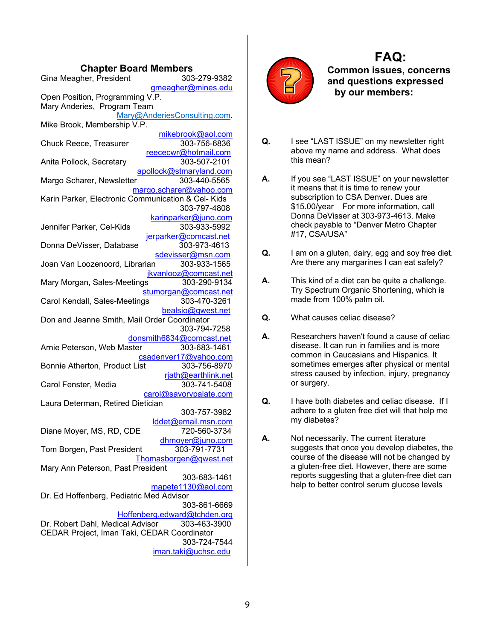### **Chapter Board Members**

| Gina Meagher, President                                                              | 303-279-9382                            |  |  |
|--------------------------------------------------------------------------------------|-----------------------------------------|--|--|
| gmeagher@mines.edu<br>Open Position, Programming V.P.<br>Mary Anderies, Program Team |                                         |  |  |
|                                                                                      | Mary@AnderiesConsulting.com.            |  |  |
| Mike Brook, Membership V.P.                                                          |                                         |  |  |
| Chuck Reece, Treasurer                                                               | mikebrook@aol.com<br>303-756-6836       |  |  |
| Anita Pollock, Secretary                                                             | reececwr@hotmail.com<br>303-507-2101    |  |  |
| Margo Scharer, Newsletter                                                            | apollock@stmaryland.com<br>303-440-5565 |  |  |
| Karin Parker, Electronic Communication & Cel-Kids                                    | margo.scharer@yahoo.com<br>303-797-4808 |  |  |
|                                                                                      | karinparker@juno.com                    |  |  |
| Jennifer Parker, Cel-Kids                                                            | 303-933-5992                            |  |  |
|                                                                                      | jerparker@comcast.net                   |  |  |
| Donna DeVisser, Database                                                             | 303-973-4613                            |  |  |
|                                                                                      | sdevisser@msn.com<br>303-933-1565       |  |  |
| Joan Van Loozenoord, Librarian                                                       | jkvanlooz@comcast.net                   |  |  |
| Mary Morgan, Sales-Meetings                                                          | 303-290-9134                            |  |  |
|                                                                                      | stumorgan@comcast.net                   |  |  |
| Carol Kendall, Sales-Meetings                                                        | 303-470-3261                            |  |  |
| Don and Jeanne Smith, Mail Order Coordinator                                         | bealsio@qwest.net                       |  |  |
|                                                                                      | 303-794-7258                            |  |  |
|                                                                                      | donsmith6834@comcast.net                |  |  |
| Arnie Peterson, Web Master                                                           | 303-683-1461                            |  |  |
|                                                                                      | csadenver17@yahoo.com                   |  |  |
| Bonnie Atherton, Product List                                                        | 303-756-8970                            |  |  |
| Carol Fenster, Media                                                                 | rjath@earthlink.net<br>303-741-5408     |  |  |
|                                                                                      | carol@savorypalate.com                  |  |  |
| Laura Determan, Retired Dietician                                                    |                                         |  |  |
|                                                                                      | 303-757-3982                            |  |  |
|                                                                                      | lddet@email.msn.com                     |  |  |
| Diane Moyer, MS, RD, CDE                                                             | 720-560-3734                            |  |  |
|                                                                                      | dhmoyer@juno.com                        |  |  |
| Tom Borgen, Past President                                                           | 303-791-7731<br>Thomasborgen@qwest.net  |  |  |
| Mary Ann Peterson, Past President                                                    |                                         |  |  |
|                                                                                      | 303-683-1461                            |  |  |
|                                                                                      | mapete1130@aol.com                      |  |  |
| Dr. Ed Hoffenberg, Pediatric Med Advisor                                             |                                         |  |  |
|                                                                                      | 303-861-6669                            |  |  |
|                                                                                      | Hoffenberg.edward@tchden.org            |  |  |
| Dr. Robert Dahl, Medical Advisor                                                     | 303-463-3900                            |  |  |
| CEDAR Project, Iman Taki, CEDAR Coordinator                                          |                                         |  |  |
|                                                                                      |                                         |  |  |
|                                                                                      | 303-724-7544<br>iman.taki@uchsc.edu     |  |  |



# **FAQ:**

**Common issues, concerns and questions expressed by our members:** 

- **Q.** I see "LAST ISSUE" on my newsletter right above my name and address. What does this mean?
- **A.** If you see "LAST ISSUE" on your newsletter it means that it is time to renew your subscription to CSA Denver. Dues are \$15.00/year For more information, call Donna DeVisser at 303-973-4613. Make check payable to "Denver Metro Chapter #17, CSA/USA"
- **Q.** I am on a gluten, dairy, egg and soy free diet. Are there any margarines I can eat safely?
- **A.** This kind of a diet can be quite a challenge. Try Spectrum Organic Shortening, which is made from 100% palm oil.
- **Q.** What causes celiac disease?
- **A.** Researchers haven't found a cause of celiac disease. It can run in families and is more common in Caucasians and Hispanics. It sometimes emerges after physical or mental stress caused by infection, injury, pregnancy or surgery.
- **Q.** I have both diabetes and celiac disease. If I adhere to a gluten free diet will that help me my diabetes?
- **A.** Not necessarily. The current literature suggests that once you develop diabetes, the course of the disease will not be changed by a gluten-free diet. However, there are some reports suggesting that a gluten-free diet can help to better control serum glucose levels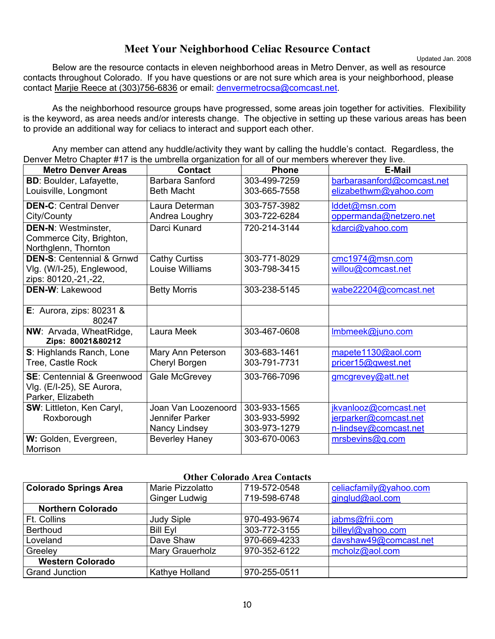# **Meet Your Neighborhood Celiac Resource Contact**

Updated Jan. 2008

Below are the resource contacts in eleven neighborhood areas in Metro Denver, as well as resource contacts throughout Colorado. If you have questions or are not sure which area is your neighborhood, please contact Marjie Reece at (303)756-6836 or email: denvermetrocsa@comcast.net.

 As the neighborhood resource groups have progressed, some areas join together for activities. Flexibility is the keyword, as area needs and/or interests change. The objective in setting up these various areas has been to provide an additional way for celiacs to interact and support each other.

 Any member can attend any huddle/activity they want by calling the huddle's contact. Regardless, the Denver Metro Chapter #17 is the umbrella organization for all of our members wherever they live.

| <b>Metro Denver Areas</b>            | <b>Contact</b>        | <b>Phone</b> | E-Mail                     |
|--------------------------------------|-----------------------|--------------|----------------------------|
| <b>BD: Boulder, Lafayette,</b>       | Barbara Sanford       | 303-499-7259 | barbarasanford@comcast.net |
| Louisville, Longmont                 | <b>Beth Macht</b>     | 303-665-7558 | elizabethwm@yahoo.com      |
| <b>DEN-C: Central Denver</b>         | Laura Determan        | 303-757-3982 | Iddet@msn.com              |
| City/County                          | Andrea Loughry        | 303-722-6284 | oppermanda@netzero.net     |
| <b>DEN-N: Westminster,</b>           | Darci Kunard          | 720-214-3144 | kdarci@yahoo.com           |
| Commerce City, Brighton,             |                       |              |                            |
| Northglenn, Thornton                 |                       |              |                            |
| <b>DEN-S: Centennial &amp; Grnwd</b> | <b>Cathy Curtiss</b>  | 303-771-8029 | cmc1974@msn.com            |
| Vlg. (W/I-25), Englewood,            | Louise Williams       | 303-798-3415 | willou@comcast.net         |
| zips: 80120,-21,-22,                 |                       |              |                            |
| <b>DEN-W: Lakewood</b>               | <b>Betty Morris</b>   | 303-238-5145 | wabe22204@comcast.net      |
|                                      |                       |              |                            |
| E: Aurora, zips: $80231$ &<br>80247  |                       |              |                            |
| NW: Arvada, WheatRidge,              | Laura Meek            | 303-467-0608 | Imbmeek@juno.com           |
| Zips: 80021&80212                    |                       |              |                            |
| S: Highlands Ranch, Lone             | Mary Ann Peterson     | 303-683-1461 | mapete1130@aol.com         |
| Tree, Castle Rock                    | Cheryl Borgen         | 303-791-7731 | pricer15@qwest.net         |
| <b>SE:</b> Centennial & Greenwood    | Gale McGrevey         | 303-766-7096 | gmcgrevey@att.net          |
| VIg. (E/I-25), SE Aurora,            |                       |              |                            |
| Parker, Elizabeth                    |                       |              |                            |
| SW: Littleton, Ken Caryl,            | Joan Van Loozenoord   | 303-933-1565 | jkvanlooz@comcast.net      |
| Roxborough                           | Jennifer Parker       | 303-933-5992 | jerparker@comcast.net      |
|                                      | Nancy Lindsey         | 303-973-1279 | n-lindsey@comcast.net      |
| W: Golden, Evergreen,                | <b>Beverley Haney</b> | 303-670-0063 | mrsbevins@q.com            |
| Morrison                             |                       |              |                            |

#### **Other Colorado Area Contacts**

| <b>Colorado Springs Area</b> | Marie Pizzolatto<br>Ginger Ludwig | 719-572-0548<br>719-598-6748 | celiacfamily@yahoo.com<br>ginglud@aol.com |
|------------------------------|-----------------------------------|------------------------------|-------------------------------------------|
| <b>Northern Colorado</b>     |                                   |                              |                                           |
| Ft. Collins                  | <b>Judy Siple</b>                 | 970-493-9674                 | jabms@frii.com                            |
| <b>Berthoud</b>              | <b>Bill Eyl</b>                   | 303-772-3155                 | billeyl@yahoo.com                         |
| Loveland                     | Dave Shaw                         | 970-669-4233                 | davshaw49@comcast.net                     |
| Greeley                      | Mary Grauerholz                   | 970-352-6122                 | mcholz@aol.com                            |
| <b>Western Colorado</b>      |                                   |                              |                                           |
| <b>Grand Junction</b>        | Kathye Holland                    | 970-255-0511                 |                                           |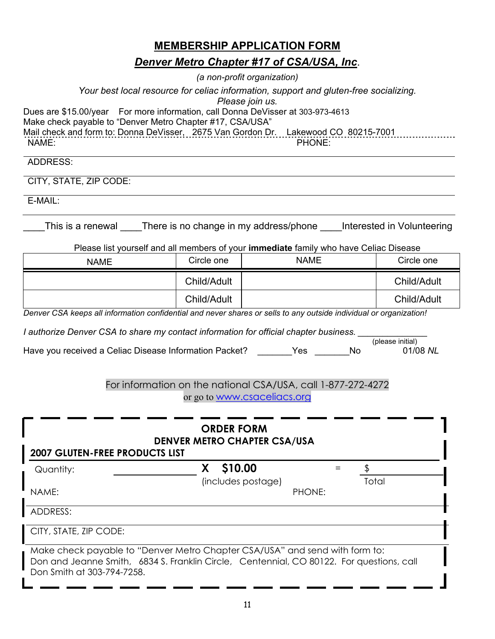# **MEMBERSHIP APPLICATION FORM**

# *Denver Metro Chapter #17 of CSA/USA, Inc*.

*(a non-profit organization)*

*Your best local resource for celiac information, support and gluten-free socializing.* 

*Please join us.* 

Dues are \$15.00/year For more information, call Donna DeVisser at 303-973-4613

Make check payable to "Denver Metro Chapter #17, CSA/USA"

Mail check and form to: Donna DeVisser, 2675 Van Gordon Dr. Lakewood CO 80215-7001

NAME: PHONE:

ADDRESS:

CITY, STATE, ZIP CODE:

E-MAIL:

This is a renewal There is no change in my address/phone Interested in Volunteering

Please list yourself and all members of your **immediate** family who have Celiac Disease

| <b>NAME</b> | Circle one  | <b>NAME</b> | Circle one  |
|-------------|-------------|-------------|-------------|
|             | Child/Adult |             | Child/Adult |
|             | Child/Adult |             | Child/Adult |

*Denver CSA keeps all information confidential and never shares or sells to any outside individual or organization!* 

*I* authorize Denver CSA to share my contact information for official chapter business. \_\_\_\_\_\_\_\_\_\_\_\_\_\_\_\_\_\_\_\_\_\_\_\_<br>(please initial)

|                                                        |     |    | (please initial) |
|--------------------------------------------------------|-----|----|------------------|
| Have you received a Celiac Disease Information Packet? | Yes | Nο | 01/08 NL         |

# For information on the national CSA/USA, call 1-877-272-4272 or go to www.csaceliacs.org

| <b>ORDER FORM</b><br><b>DENVER METRO CHAPTER CSA/USA</b><br><b>2007 GLUTEN-FREE PRODUCTS LIST</b> |                                                                                                                                                                         |       |  |  |
|---------------------------------------------------------------------------------------------------|-------------------------------------------------------------------------------------------------------------------------------------------------------------------------|-------|--|--|
| Quantity:                                                                                         | \$10.00                                                                                                                                                                 |       |  |  |
|                                                                                                   | (includes postage)                                                                                                                                                      | Total |  |  |
| NAME:                                                                                             | PHONE:                                                                                                                                                                  |       |  |  |
| ADDRESS:                                                                                          |                                                                                                                                                                         |       |  |  |
| CITY, STATE, ZIP CODE:                                                                            |                                                                                                                                                                         |       |  |  |
| Don Smith at 303-794-7258.                                                                        | Make check payable to "Denver Metro Chapter CSA/USA" and send with form to:<br>Don and Jeanne Smith, 6834 S. Franklin Circle, Centennial, CO 80122. For questions, call |       |  |  |